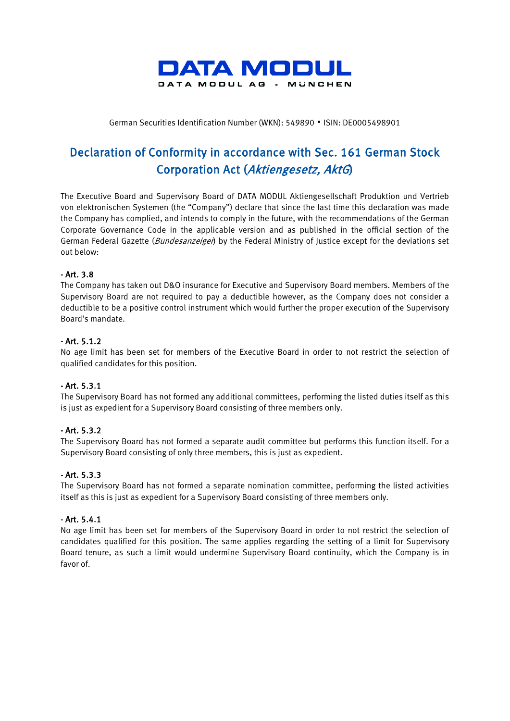

German Securities Identification Number (WKN): 549890 ▪ ISIN: DE0005498901

# Declaration of Conformity in accordance with Sec. 161 German Stock Corporation Act (Aktiengesetz, AktG)

The Executive Board and Supervisory Board of DATA MODUL Aktiengesellschaft Produktion und Vertrieb von elektronischen Systemen (the "Company") declare that since the last time this declaration was made the Company has complied, and intends to comply in the future, with the recommendations of the German Corporate Governance Code in the applicable version and as published in the official section of the German Federal Gazette (*Bundesanzeiger*) by the Federal Ministry of Justice except for the deviations set out below:

## - Art. 3.8

The Company has taken out D&O insurance for Executive and Supervisory Board members. Members of the Supervisory Board are not required to pay a deductible however, as the Company does not consider a deductible to be a positive control instrument which would further the proper execution of the Supervisory Board's mandate.

## - Art. 5.1.2

No age limit has been set for members of the Executive Board in order to not restrict the selection of qualified candidates for this position.

## - Art. 5.3.1

The Supervisory Board has not formed any additional committees, performing the listed duties itself as this is just as expedient for a Supervisory Board consisting of three members only.

## - Art. 5.3.2

The Supervisory Board has not formed a separate audit committee but performs this function itself. For a Supervisory Board consisting of only three members, this is just as expedient.

## - Art. 5.3.3

The Supervisory Board has not formed a separate nomination committee, performing the listed activities itself as this is just as expedient for a Supervisory Board consisting of three members only.

### - Art. 5.4.1

No age limit has been set for members of the Supervisory Board in order to not restrict the selection of candidates qualified for this position. The same applies regarding the setting of a limit for Supervisory Board tenure, as such a limit would undermine Supervisory Board continuity, which the Company is in favor of.